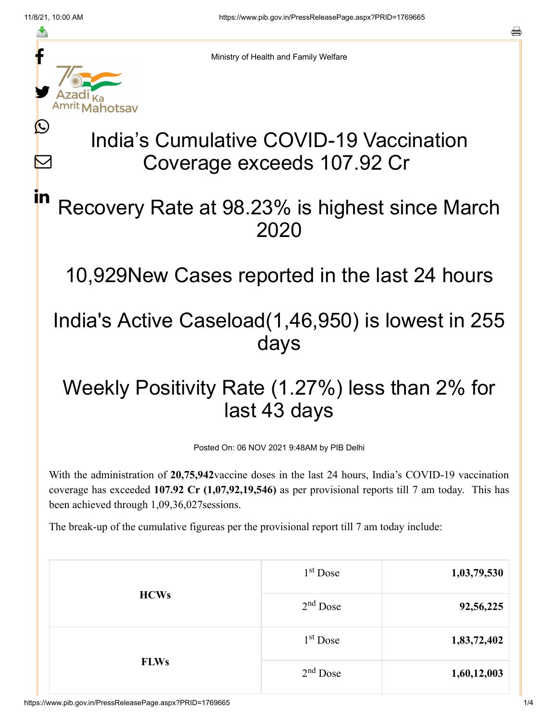≛

 $\bm{\nabla}$ 

in



Ministry of Health and Family Welfare

# India's Cumulative COVID-19 Vaccination Coverage exceeds 107.92 Cr

### Recovery Rate at 98.23% is highest since March 2020

10,929New Cases reported in the last 24 hours

### India's Active Caseload(1,46,950) is lowest in 255 days

## Weekly Positivity Rate (1.27%) less than 2% for last 43 days

Posted On: 06 NOV 2021 9:48AM by PIB Delhi

With the administration of **20,75,942**vaccine doses in the last 24 hours, India's COVID-19 vaccination coverage has exceeded **107.92 Cr (1,07,92,19,546)** as per provisional reports till 7 am today. This has been achieved through 1,09,36,027sessions.

The break-up of the cumulative figureas per the provisional report till 7 am today include:

| <b>HCWs</b> | $1st$ Dose | 1,03,79,530 |
|-------------|------------|-------------|
|             | $2nd$ Dose | 92,56,225   |
| <b>FLWs</b> | $1st$ Dose | 1,83,72,402 |
|             | $2nd$ Dose | 1,60,12,003 |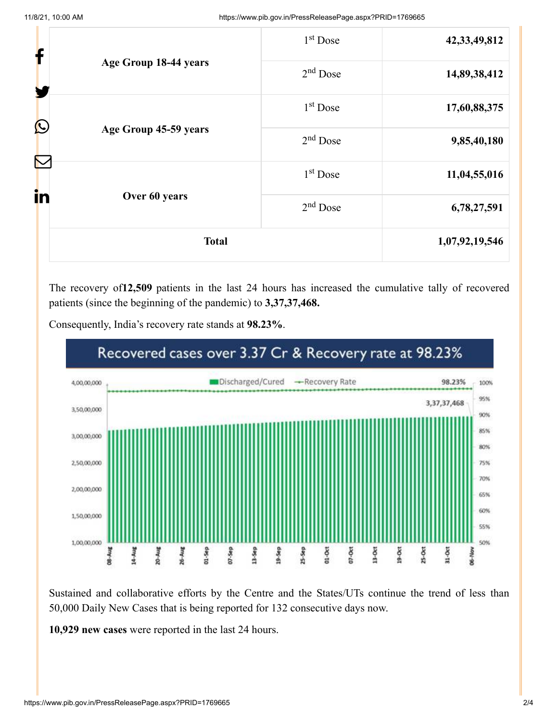| <b>Total</b>          |                                     | 1,07,92,19,546       |                 |
|-----------------------|-------------------------------------|----------------------|-----------------|
| in                    | Over 60 years                       | $2nd$ Dose           | 6,78,27,591     |
|                       |                                     | 1 <sup>st</sup> Dose | 11,04,55,016    |
|                       | $\bigcirc$<br>Age Group 45-59 years | $2nd$ Dose           | 9,85,40,180     |
|                       |                                     | 1 <sup>st</sup> Dose | 17,60,88,375    |
| Age Group 18-44 years | $2nd$ Dose                          | 14,89,38,412         |                 |
| f                     |                                     | 1 <sup>st</sup> Dose | 42, 33, 49, 812 |

The recovery of**12,509** patients in the last 24 hours has increased the cumulative tally of recovered patients (since the beginning of the pandemic) to **3,37,37,468.**



Consequently, India's recovery rate stands at **98.23%**.

Sustained and collaborative efforts by the Centre and the States/UTs continue the trend of less than 50,000 Daily New Cases that is being reported for 132 consecutive days now.

**10,929 new cases** were reported in the last 24 hours.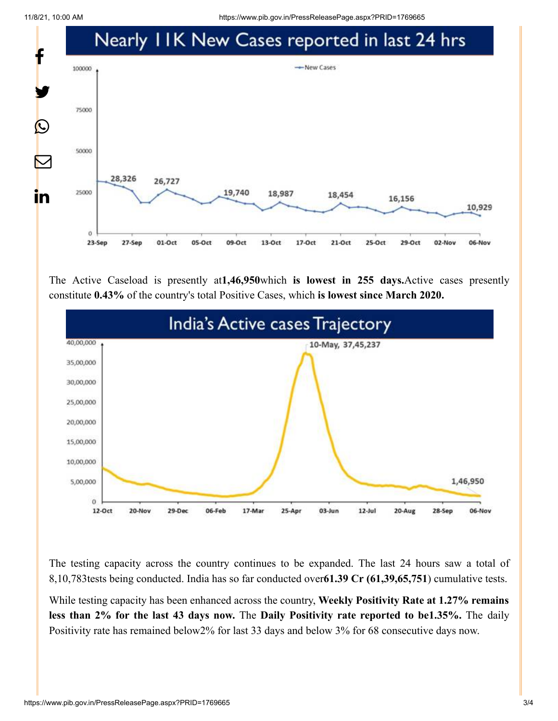11/8/21, 10:00 AM https://www.pib.gov.in/PressReleasePage.aspx?PRID=1769665



The Active Caseload is presently at**1,46,950**which **is lowest in 255 days.**Active cases presently constitute **0.43%** of the country's total Positive Cases, which **is lowest since March 2020.**



The testing capacity across the country continues to be expanded. The last 24 hours saw a total of 8,10,783tests being conducted. India has so far conducted over**61.39 Cr (61,39,65,751**) cumulative tests.

While testing capacity has been enhanced across the country, **Weekly Positivity Rate at 1.27% remains less than 2% for the last 43 days now.** The **Daily Positivity rate reported to be1.35%.** The daily Positivity rate has remained below2% for last 33 days and below 3% for 68 consecutive days now.